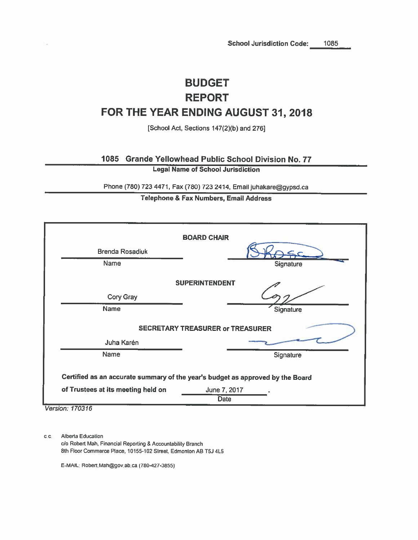# **BUDGET REPORT** FOR THE YEAR ENDING AUGUST 31, 2018

[School Act, Sections 147(2)(b) and 276]

1085 Grande Yellowhead Public School Division No. 77

**Legal Name of School Jurisdiction** 

Phone (780) 723 4471, Fax (780) 723 2414, Email juhakare@gypsd.ca

## Telephone & Fax Numbers, Email Address

|                                    | <b>BOARD CHAIR</b>                                                             |
|------------------------------------|--------------------------------------------------------------------------------|
| <b>Brenda Rosadiuk</b>             |                                                                                |
| Name                               | Signature                                                                      |
|                                    | <b>SUPERINTENDENT</b>                                                          |
| Cory Gray                          |                                                                                |
| Name                               | Signature                                                                      |
|                                    | <b>SECRETARY TREASURER or TREASURER</b>                                        |
| Juha Karén                         |                                                                                |
| Name                               | Signature                                                                      |
|                                    | Certified as an accurate summary of the year's budget as approved by the Board |
| of Trustees at its meeting held on | June 7, 2017<br><b>Date</b>                                                    |

Version: 170316

c.c. Alberta Education c/o Robert Mah, Financial Reporting & Accountability Branch 8th Floor Commerce Place, 10155-102 Street, Edmonton AB T5J 4L5

E-MAIL: Robert Mah@gov.ab.ca (780-427-3855)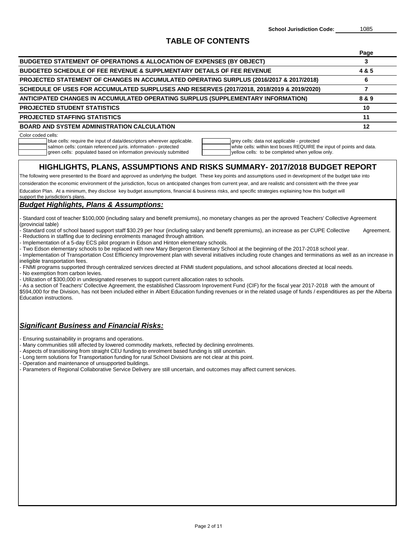## **TABLE OF CONTENTS**

|                                                                                                                                                                                                                                                                                                                                                                                                                                                                                                                                                                                                                                                                                                                                                                                                                                                                                                                                                                                                                                                                                                                                                                                                                                                                                                                                                                                                                                                                                         | Page           |
|-----------------------------------------------------------------------------------------------------------------------------------------------------------------------------------------------------------------------------------------------------------------------------------------------------------------------------------------------------------------------------------------------------------------------------------------------------------------------------------------------------------------------------------------------------------------------------------------------------------------------------------------------------------------------------------------------------------------------------------------------------------------------------------------------------------------------------------------------------------------------------------------------------------------------------------------------------------------------------------------------------------------------------------------------------------------------------------------------------------------------------------------------------------------------------------------------------------------------------------------------------------------------------------------------------------------------------------------------------------------------------------------------------------------------------------------------------------------------------------------|----------------|
| <b>BUDGETED STATEMENT OF OPERATIONS &amp; ALLOCATION OF EXPENSES (BY OBJECT)</b>                                                                                                                                                                                                                                                                                                                                                                                                                                                                                                                                                                                                                                                                                                                                                                                                                                                                                                                                                                                                                                                                                                                                                                                                                                                                                                                                                                                                        | 3              |
| <b>BUDGETED SCHEDULE OF FEE REVENUE &amp; SUPPLMENTARY DETAILS OF FEE REVENUE</b>                                                                                                                                                                                                                                                                                                                                                                                                                                                                                                                                                                                                                                                                                                                                                                                                                                                                                                                                                                                                                                                                                                                                                                                                                                                                                                                                                                                                       | 4&5            |
| PROJECTED STATEMENT OF CHANGES IN ACCUMULATED OPERATING SURPLUS (2016/2017 & 2017/2018)                                                                                                                                                                                                                                                                                                                                                                                                                                                                                                                                                                                                                                                                                                                                                                                                                                                                                                                                                                                                                                                                                                                                                                                                                                                                                                                                                                                                 | 6              |
| SCHEDULE OF USES FOR ACCUMULATED SURPLUSES AND RESERVES (2017/2018, 2018/2019 & 2019/2020)                                                                                                                                                                                                                                                                                                                                                                                                                                                                                                                                                                                                                                                                                                                                                                                                                                                                                                                                                                                                                                                                                                                                                                                                                                                                                                                                                                                              | $\overline{7}$ |
| ANTICIPATED CHANGES IN ACCUMULATED OPERATING SURPLUS (SUPPLEMENTARY INFORMATION)                                                                                                                                                                                                                                                                                                                                                                                                                                                                                                                                                                                                                                                                                                                                                                                                                                                                                                                                                                                                                                                                                                                                                                                                                                                                                                                                                                                                        | 8 & 9          |
| <b>PROJECTED STUDENT STATISTICS</b>                                                                                                                                                                                                                                                                                                                                                                                                                                                                                                                                                                                                                                                                                                                                                                                                                                                                                                                                                                                                                                                                                                                                                                                                                                                                                                                                                                                                                                                     | 10             |
| PROJECTED STAFFING STATISTICS                                                                                                                                                                                                                                                                                                                                                                                                                                                                                                                                                                                                                                                                                                                                                                                                                                                                                                                                                                                                                                                                                                                                                                                                                                                                                                                                                                                                                                                           | 11             |
| <b>BOARD AND SYSTEM ADMINISTRATION CALCULATION</b>                                                                                                                                                                                                                                                                                                                                                                                                                                                                                                                                                                                                                                                                                                                                                                                                                                                                                                                                                                                                                                                                                                                                                                                                                                                                                                                                                                                                                                      | 12             |
| Color coded cells:<br>blue cells: require the input of data/descriptors wherever applicable.<br>grey cells: data not applicable - protected<br>salmon cells: contain referenced juris. information - protected<br>white cells: within text boxes REQUIRE the input of points and data.<br>green cells: populated based on information previously submitted<br>yellow cells: to be completed when yellow only.                                                                                                                                                                                                                                                                                                                                                                                                                                                                                                                                                                                                                                                                                                                                                                                                                                                                                                                                                                                                                                                                           |                |
| HIGHLIGHTS, PLANS, ASSUMPTIONS AND RISKS SUMMARY- 2017/2018 BUDGET REPORT<br>The following were presented to the Board and approved as underlying the budget. These key points and assumptions used in development of the budget take into<br>consideration the economic environment of the jurisdiction, focus on anticipated changes from current year, and are realistic and consistent with the three year<br>Education Plan. At a minimum, they disclose key budget assumptions, financial & business risks, and specific strategies explaining how this budget will<br>support the jurisdiction's plans.                                                                                                                                                                                                                                                                                                                                                                                                                                                                                                                                                                                                                                                                                                                                                                                                                                                                          |                |
| <b>Budget Highlights, Plans &amp; Assumptions:</b>                                                                                                                                                                                                                                                                                                                                                                                                                                                                                                                                                                                                                                                                                                                                                                                                                                                                                                                                                                                                                                                                                                                                                                                                                                                                                                                                                                                                                                      |                |
| Standard cost of teacher \$100,000 (including salary and benefit premiums), no monetary changes as per the aproved Teachers' Collective Agreement<br>(provincial table)<br>Standard cost of school based support staff \$30.29 per hour (including salary and benefit ppremiums), an increase as per CUPE Collective<br>Reductions in staffing due to declining enrolments managed through attrition.<br>Implementation of a 5-day ECS pilot program in Edson and Hinton elementary schools.<br>- Two Edson elementary schools to be replaced with new Mary Bergeron Elementary School at the beginning of the 2017-2018 school year.<br>Implementation of Transportation Cost Efficiency Improvement plan with several initiatives including route changes and terminations as well as an increase in<br>ineligible transportation fees.<br>- FNMI programs supported through centralized services directed at FNMI student populations, and school allocations directed at local needs.<br>No exemption from carbon levies.<br>Utilization of \$300,000 in undesignated reserves to support current allocation rates to schools.<br>As a section of Teachers' Collective Agreement, the established Classroom Inprovement Fund (CIF) for the fiscal year 2017-2018 with the amount of<br>\$594,000 for the Division, has not been included either in Albert Education funding revenues or in the related usage of funds / expenditiures as per the Alberta<br>Education instructions. | Agreement.     |
| <b>Significant Business and Financial Risks:</b><br>Ensuring sustainability in programs and operations.<br>Many communities still affected by lowered commodity markets, reflected by declining enrolments.<br>Aspects of transitioning from straight CEU funding to enrolment based funding is still uncertain.<br>Long term solutions for Transportation funding for rural School Divisions are not clear at this point.<br>Operation and maintenance of unsupported buildings.<br>Parameters of Regional Collaborative Service Delivery are still uncertain, and outcomes may affect current services.                                                                                                                                                                                                                                                                                                                                                                                                                                                                                                                                                                                                                                                                                                                                                                                                                                                                               |                |
|                                                                                                                                                                                                                                                                                                                                                                                                                                                                                                                                                                                                                                                                                                                                                                                                                                                                                                                                                                                                                                                                                                                                                                                                                                                                                                                                                                                                                                                                                         |                |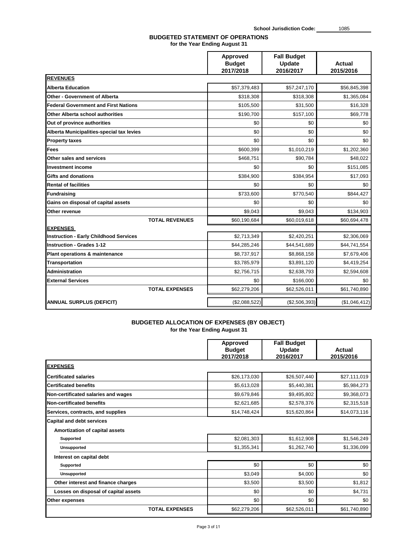## **BUDGETED STATEMENT OF OPERATIONS for the Year Ending August 31**

|                                               | Approved<br><b>Budget</b><br>2017/2018 | <b>Fall Budget</b><br>Update<br>2016/2017 | <b>Actual</b><br>2015/2016 |
|-----------------------------------------------|----------------------------------------|-------------------------------------------|----------------------------|
| <b>REVENUES</b>                               |                                        |                                           |                            |
| <b>Alberta Education</b>                      | \$57,379,483                           | \$57,247,170                              | \$56,845,398               |
| <b>Other - Government of Alberta</b>          | \$318,308                              | \$318,308                                 | \$1,365,084                |
| <b>Federal Government and First Nations</b>   | \$105,500                              | \$31,500                                  | \$16,328                   |
| Other Alberta school authorities              | \$190,700                              | \$157,100                                 | \$69,778                   |
| Out of province authorities                   | \$0                                    | \$0                                       | \$0                        |
| Alberta Municipalities-special tax levies     | \$0                                    | \$0                                       | \$0                        |
| <b>Property taxes</b>                         | \$0                                    | \$0                                       | \$0                        |
| Fees                                          | \$600,399                              | \$1,010,219                               | \$1,202,360                |
| Other sales and services                      | \$468,751                              | \$90,784                                  | \$48,022                   |
| <b>Investment income</b>                      | \$0                                    | \$0                                       | \$151,085                  |
| Gifts and donations                           | \$384,900                              | \$384,954                                 | \$17,093                   |
| <b>Rental of facilities</b>                   | \$0                                    | \$0                                       | \$0                        |
| <b>Fundraising</b>                            | \$733,600                              | \$770,540                                 | \$844,427                  |
| Gains on disposal of capital assets           | \$0                                    | \$0                                       | \$0                        |
| Other revenue                                 | \$9.043                                | \$9.043                                   | \$134,903                  |
| <b>TOTAL REVENUES</b>                         | \$60,190,684                           | \$60,019,618                              | \$60,694,478               |
| <b>EXPENSES</b>                               |                                        |                                           |                            |
| <b>Instruction - Early Childhood Services</b> | \$2,713,349                            | \$2,420,251                               | \$2,306,069                |
| <b>Instruction - Grades 1-12</b>              | \$44,285,246                           | \$44,541,689                              | \$44,741,554               |
| Plant operations & maintenance                | \$8,737,917                            | \$8,868,158                               | \$7,679,406                |
| <b>Transportation</b>                         | \$3,785,979                            | \$3,891,120                               | \$4,419,254                |
| <b>Administration</b>                         | \$2,756,715                            | \$2,638,793                               | \$2,594,608                |
| <b>External Services</b>                      | \$0                                    | \$166,000                                 | \$0                        |
| <b>TOTAL EXPENSES</b>                         | \$62,279,206                           | \$62,526,011                              | \$61,740,890               |
| <b>ANNUAL SURPLUS (DEFICIT)</b>               | (\$2,088,522)                          | (\$2,506,393)                             | (\$1,046,412)              |

## **BUDGETED ALLOCATION OF EXPENSES (BY OBJECT) for the Year Ending August 31**

|                                                                    | Approved<br><b>Budget</b><br>2017/2018 | <b>Fall Budget</b><br>Update<br>2016/2017 | Actual<br>2015/2016 |
|--------------------------------------------------------------------|----------------------------------------|-------------------------------------------|---------------------|
| <b>EXPENSES</b>                                                    |                                        |                                           |                     |
| <b>Certificated salaries</b>                                       | \$26,173,030                           | \$26,507,440                              | \$27,111,019        |
| <b>Certificated benefits</b>                                       | \$5,613,028                            | \$5,440,381                               | \$5,984,273         |
| Non-certificated salaries and wages                                | \$9,679,846                            | \$9,495,802                               | \$9,368,073         |
| Non-certificated benefits                                          | \$2,621,685                            | \$2,578,376                               | \$2,315,518         |
| Services, contracts, and supplies                                  | \$14,748,424                           | \$15,620,864                              | \$14,073,116        |
| <b>Capital and debt services</b><br>Amortization of capital assets |                                        |                                           |                     |
| Supported                                                          | \$2,081,303                            | \$1,612,908                               | \$1,546,249         |
| <b>Unsupported</b>                                                 | \$1,355,341                            | \$1,262,740                               | \$1,336,099         |
| Interest on capital debt                                           |                                        |                                           |                     |
| Supported                                                          | \$0                                    | \$0                                       | \$0                 |
| <b>Unsupported</b>                                                 | \$3,049                                | \$4.000                                   | \$0                 |
| Other interest and finance charges                                 | \$3,500                                | \$3,500                                   | \$1,812             |
| Losses on disposal of capital assets                               | \$0                                    | \$0                                       | \$4,731             |
| Other expenses                                                     | \$0                                    | \$0                                       | \$0                 |
| <b>TOTAL EXPENSES</b>                                              | \$62,279,206                           | \$62,526,011                              | \$61,740,890        |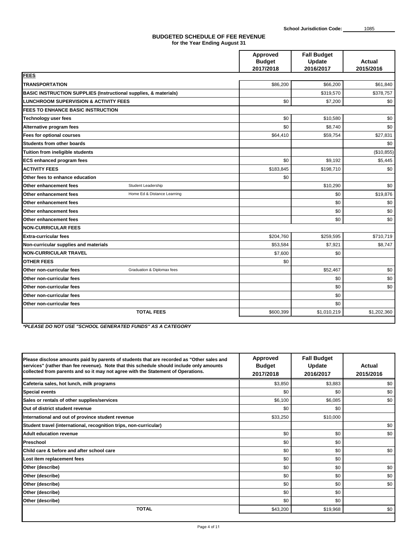#### **BUDGETED SCHEDULE OF FEE REVENUE for the Year Ending August 31**

|                                                                             | Approved<br><b>Budget</b> | <b>Fall Budget</b><br>Update | Actual      |
|-----------------------------------------------------------------------------|---------------------------|------------------------------|-------------|
|                                                                             | 2017/2018                 | 2016/2017                    | 2015/2016   |
| <b>FEES</b>                                                                 |                           |                              |             |
| <b>TRANSPORTATION</b>                                                       | \$86,200                  | \$66,200                     | \$61,840    |
| <b>BASIC INSTRUCTION SUPPLIES (Instructional supplies, &amp; materials)</b> |                           | \$319,570                    | \$378,757   |
| <b>ILUNCHROOM SUPERVISION &amp; ACTIVITY FEES</b>                           | \$0                       | \$7,200                      | \$0         |
| <b>FEES TO ENHANCE BASIC INSTRUCTION</b>                                    |                           |                              |             |
| <b>Technology user fees</b>                                                 | \$0                       | \$10,580                     | \$0         |
| Alternative program fees                                                    | \$0                       | \$8,740                      | \$0         |
| Fees for optional courses                                                   | \$64,410                  | \$59,754                     | \$27,831    |
| Students from other boards                                                  |                           |                              | \$0         |
| Tuition from ineligible students                                            |                           |                              | (\$10,855)  |
| <b>ECS enhanced program fees</b>                                            | \$0                       | \$9,192                      | \$5,445     |
| <b>ACTIVITY FEES</b>                                                        | \$183,845                 | \$198,710                    | \$0         |
| Other fees to enhance education                                             | \$0                       |                              |             |
| Other enhancement fees<br>Student Leadership                                |                           | \$10,290                     | \$0         |
| Other enhancement fees<br>Home Ed & Distance Learning                       |                           | \$0                          | \$19,876    |
| Other enhancement fees                                                      |                           | \$0                          | \$0         |
| Other enhancement fees                                                      |                           | \$0                          | \$0         |
| Other enhancement fees                                                      |                           | \$0                          | \$0         |
| <b>INON-CURRICULAR FEES</b>                                                 |                           |                              |             |
| Extra-curricular fees                                                       | \$204,760                 | \$259,595                    | \$710,719   |
| Non-curricular supplies and materials                                       | \$53,584                  | \$7,921                      | \$8,747     |
| <b>NON-CURRICULAR TRAVEL</b>                                                | \$7,600                   | \$0                          |             |
| <b>OTHER FEES</b>                                                           | \$0                       |                              |             |
| Other non-curricular fees<br>Graduation & Diplomax fees                     |                           | \$52,467                     | \$0         |
| Other non-curricular fees                                                   |                           | \$0                          | \$0         |
| Other non-curricular fees                                                   |                           | \$0                          | \$0         |
| Other non-curricular fees                                                   |                           | \$0                          |             |
| Other non-curricular fees                                                   |                           | \$0                          |             |
| <b>TOTAL FEES</b>                                                           | \$600,399                 | \$1,010,219                  | \$1,202,360 |
|                                                                             |                           |                              |             |

*<sup>\*</sup>PLEASE DO NOT USE "SCHOOL GENERATED FUNDS" AS A CATEGORY*

| Please disclose amounts paid by parents of students that are recorded as "Other sales and<br>services" (rather than fee revenue). Note that this schedule should include only amounts<br>collected from parents and so it may not agree with the Statement of Operations. | <b>Approved</b><br><b>Budget</b><br>2017/2018 | <b>Fall Budget</b><br>Update<br>2016/2017 | Actual<br>2015/2016 |
|---------------------------------------------------------------------------------------------------------------------------------------------------------------------------------------------------------------------------------------------------------------------------|-----------------------------------------------|-------------------------------------------|---------------------|
| Cafeteria sales, hot lunch, milk programs                                                                                                                                                                                                                                 | \$3,850                                       | \$3,883                                   | \$0                 |
| <b>Special events</b>                                                                                                                                                                                                                                                     | \$0                                           | \$0                                       | \$0                 |
| Sales or rentals of other supplies/services                                                                                                                                                                                                                               | \$6,100                                       | \$6,085                                   | \$0                 |
| Out of district student revenue                                                                                                                                                                                                                                           | \$0                                           | \$0                                       |                     |
| International and out of province student revenue                                                                                                                                                                                                                         | \$33,250                                      | \$10,000                                  |                     |
| Student travel (international, recognition trips, non-curricular)                                                                                                                                                                                                         |                                               |                                           | \$0                 |
| <b>Adult education revenue</b>                                                                                                                                                                                                                                            | \$0                                           | \$0                                       | \$0                 |
| Preschool                                                                                                                                                                                                                                                                 | \$0                                           | \$0                                       |                     |
| Child care & before and after school care                                                                                                                                                                                                                                 | \$0                                           | \$0                                       | \$0                 |
| Lost item replacement fees                                                                                                                                                                                                                                                | \$0                                           | \$0                                       |                     |
| Other (describe)                                                                                                                                                                                                                                                          | \$0                                           | \$0                                       | \$0                 |
| Other (describe)                                                                                                                                                                                                                                                          | \$0                                           | \$0                                       | \$0                 |
| Other (describe)                                                                                                                                                                                                                                                          | \$0                                           | \$0                                       | \$0                 |
| Other (describe)                                                                                                                                                                                                                                                          | \$0                                           | \$0                                       |                     |
| Other (describe)                                                                                                                                                                                                                                                          | \$0                                           | \$0                                       |                     |
| <b>TOTAL</b>                                                                                                                                                                                                                                                              | \$43,200                                      | \$19,968                                  | \$0                 |
|                                                                                                                                                                                                                                                                           |                                               |                                           |                     |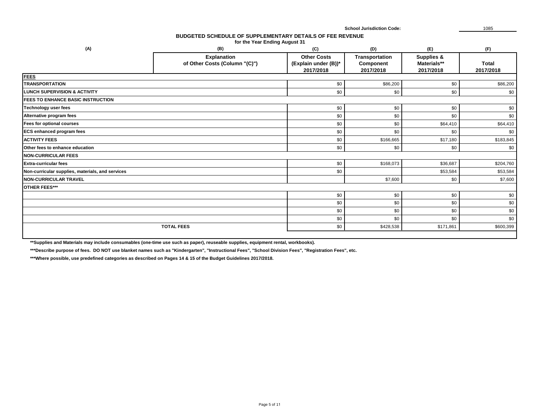#### **BUDGETED SCHEDULE OF SUPPLEMENTARY DETAILS OF FEE REVENUE for the Year Ending August 31**

| (A)                                              | (B)                                                 | (C)                                                     | (D)                                      | (E)                                    | (F)                       |
|--------------------------------------------------|-----------------------------------------------------|---------------------------------------------------------|------------------------------------------|----------------------------------------|---------------------------|
|                                                  | <b>Explanation</b><br>of Other Costs (Column "(C)") | <b>Other Costs</b><br>(Explain under (B))*<br>2017/2018 | Transportation<br>Component<br>2017/2018 | Supplies &<br>Materials**<br>2017/2018 | <b>Total</b><br>2017/2018 |
| <b>FEES</b>                                      |                                                     |                                                         |                                          |                                        |                           |
| TRANSPORTATION                                   |                                                     | \$0                                                     | \$86,200                                 | \$0                                    | \$86,200                  |
| <b>LUNCH SUPERVISION &amp; ACTIVITY</b>          |                                                     | \$0                                                     | \$0                                      | \$0                                    | \$0                       |
| <b>FEES TO ENHANCE BASIC INSTRUCTION</b>         |                                                     |                                                         |                                          |                                        |                           |
| Technology user fees                             |                                                     | \$0                                                     | \$0                                      | \$0                                    | \$0                       |
| Alternative program fees                         |                                                     | \$0                                                     | \$0                                      | \$0                                    | \$0                       |
| Fees for optional courses                        |                                                     | \$0                                                     | \$0                                      | \$64,410                               | \$64,410                  |
| <b>ECS enhanced program fees</b>                 |                                                     | \$0                                                     | \$0                                      | \$0                                    | \$0                       |
| <b>ACTIVITY FEES</b>                             |                                                     | \$0                                                     | \$166,665                                | \$17,180                               | \$183,845                 |
| Other fees to enhance education                  |                                                     | \$0                                                     | \$0                                      | \$0                                    | \$0                       |
| <b>NON-CURRICULAR FEES</b>                       |                                                     |                                                         |                                          |                                        |                           |
| <b>Extra-curricular fees</b>                     |                                                     | \$0                                                     | \$168,073                                | \$36,687                               | \$204,760                 |
| Non-curricular supplies, materials, and services |                                                     | \$0                                                     |                                          | \$53,584                               | \$53,584                  |
| NON-CURRICULAR TRAVEL                            |                                                     |                                                         | \$7,600                                  | \$0                                    | \$7,600                   |
| OTHER FEES***                                    |                                                     |                                                         |                                          |                                        |                           |
|                                                  |                                                     | \$0                                                     | \$0                                      | \$0                                    | \$0                       |
|                                                  |                                                     | \$0                                                     | \$0                                      | \$0                                    | \$0                       |
|                                                  |                                                     | \$0                                                     | \$0                                      | \$0                                    | \$0                       |
|                                                  |                                                     | \$0                                                     | \$0                                      | \$0                                    | \$0                       |
|                                                  | <b>TOTAL FEES</b>                                   | \$0                                                     | \$428,538                                | \$171,861                              | \$600,399                 |
|                                                  |                                                     |                                                         |                                          |                                        |                           |

**\*\*Supplies and Materials may include consumables (one-time use such as paper), reuseable supplies, equipment rental, workbooks).**

**\*\*\*Describe purpose of fees. DO NOT use blanket names such as "Kindergarten", "Instructional Fees", "School Division Fees", "Registration Fees", etc.**

**\*\*\*Where possible, use predefined categories as described on Pages 14 & 15 of the Budget Guidelines 2017/2018.**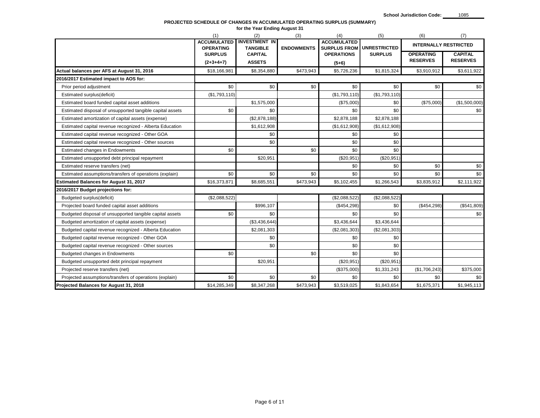#### **PROJECTED SCHEDULE OF CHANGES IN ACCUMULATED OPERATING SURPLUS (SUMMARY)**

|                                                           |                                        | for the Year Ending August 31           |                   |                                           |                     |                                     |                                   |
|-----------------------------------------------------------|----------------------------------------|-----------------------------------------|-------------------|-------------------------------------------|---------------------|-------------------------------------|-----------------------------------|
|                                                           | (1)                                    | (2)                                     | (3)               | (4)                                       | (5)                 | (6)                                 | (7)                               |
|                                                           | <b>ACCUMULATED</b><br><b>OPERATING</b> | <b>INVESTMENT IN</b><br><b>TANGIBLE</b> | <b>ENDOWMENTS</b> | <b>ACCUMULATED</b><br><b>SURPLUS FROM</b> | <b>UNRESTRICTED</b> | <b>INTERNALLY RESTRICTED</b>        |                                   |
|                                                           | <b>SURPLUS</b><br>$(2+3+4+7)$          | <b>CAPITAL</b><br><b>ASSETS</b>         |                   | <b>OPERATIONS</b><br>$(5+6)$              | <b>SURPLUS</b>      | <b>OPERATING</b><br><b>RESERVES</b> | <b>CAPITAL</b><br><b>RESERVES</b> |
| Actual balances per AFS at August 31, 2016                | \$18,166,981                           | \$8,354,880                             | \$473,943         | \$5,726,236                               | \$1,815,324         | \$3,910,912                         | \$3,611,922                       |
| 2016/2017 Estimated impact to AOS for:                    |                                        |                                         |                   |                                           |                     |                                     |                                   |
| Prior period adjustment                                   | \$0                                    | \$0                                     | \$0               | \$0                                       | \$0                 | \$0                                 | \$0                               |
| Estimated surplus(deficit)                                | (\$1,793,110)                          |                                         |                   | (\$1,793,110)                             | (\$1,793,110)       |                                     |                                   |
| Estimated board funded capital asset additions            |                                        | \$1,575,000                             |                   | (\$75,000)                                | \$0                 | (\$75,000)                          | (\$1,500,000)                     |
| Estimated disposal of unsupported tangible capital assets | \$0                                    | \$0                                     |                   | \$0                                       | \$0                 |                                     | \$0                               |
| Estimated amortization of capital assets (expense)        |                                        | (\$2,878,188)                           |                   | \$2,878,188                               | \$2,878,188         |                                     |                                   |
| Estimated capital revenue recognized - Alberta Education  |                                        | \$1,612,908                             |                   | (\$1,612,908)                             | (\$1,612,908)       |                                     |                                   |
| Estimated capital revenue recognized - Other GOA          |                                        | \$0                                     |                   | \$0                                       | \$0                 |                                     |                                   |
| Estimated capital revenue recognized - Other sources      |                                        | \$0                                     |                   | \$0                                       | \$0                 |                                     |                                   |
| Estimated changes in Endowments                           | \$0                                    |                                         | \$0               | \$0                                       | \$0                 |                                     |                                   |
| Estimated unsupported debt principal repayment            |                                        | \$20,951                                |                   | (\$20,951)                                | (\$20,951)          |                                     |                                   |
| Estimated reserve transfers (net)                         |                                        |                                         |                   | \$0                                       | \$0                 | \$0                                 | \$0                               |
| Estimated assumptions/transfers of operations (explain)   | \$0                                    | \$0                                     | \$0               | \$0                                       | \$0                 | \$0                                 | \$0                               |
| <b>Estimated Balances for August 31, 2017</b>             | \$16,373,871                           | \$8,685,551                             | \$473,943         | \$5,102,455                               | \$1,266,543         | \$3,835,912                         | \$2,111,922                       |
| 2016/2017 Budget projections for:                         |                                        |                                         |                   |                                           |                     |                                     |                                   |
| Budgeted surplus(deficit)                                 | (\$2,088,522)                          |                                         |                   | (\$2,088,522)                             | (\$2,088,522)       |                                     |                                   |
| Projected board funded capital asset additions            |                                        | \$996,107                               |                   | (\$454,298)                               | \$0                 | (\$454,298)                         | (\$541,809)                       |
| Budgeted disposal of unsupported tangible capital assets  | \$0                                    | \$0                                     |                   | \$0                                       | \$0                 |                                     | \$0                               |
| Budgeted amortization of capital assets (expense)         |                                        | (\$3,436,644)                           |                   | \$3,436,644                               | \$3,436,644         |                                     |                                   |
| Budgeted capital revenue recognized - Alberta Education   |                                        | \$2,081,303                             |                   | (\$2,081,303)                             | (\$2,081,303)       |                                     |                                   |
| Budgeted capital revenue recognized - Other GOA           |                                        | \$0                                     |                   | \$0                                       | \$0                 |                                     |                                   |
| Budgeted capital revenue recognized - Other sources       |                                        | \$0                                     |                   | \$0                                       | \$0                 |                                     |                                   |
| <b>Budgeted changes in Endowments</b>                     | \$0                                    |                                         | \$0               | \$0                                       | \$0                 |                                     |                                   |
| Budgeted unsupported debt principal repayment             |                                        | \$20,951                                |                   | (\$20,951)                                | (\$20,951)          |                                     |                                   |
| Projected reserve transfers (net)                         |                                        |                                         |                   | (\$375,000)                               | \$1,331,243         | (\$1,706,243)                       | \$375,000                         |
| Projected assumptions/transfers of operations (explain)   | \$0                                    | \$0                                     | \$0               | \$0                                       | \$0                 | \$0                                 | \$0                               |
| Projected Balances for August 31, 2018                    | \$14,285,349                           | \$8,347,268                             | \$473,943         | \$3,519,025                               | \$1,843,654         | \$1,675,371                         | \$1,945,113                       |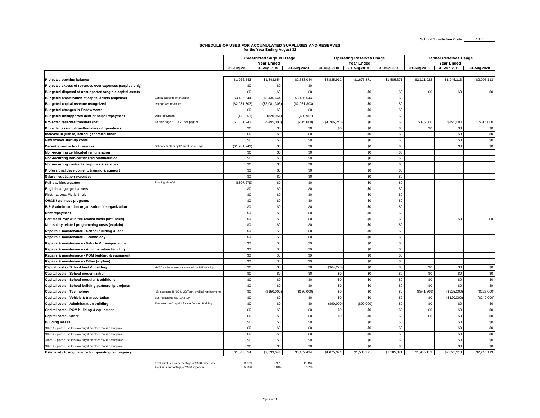## **SCHEDULE OF USES FOR ACCUMULATED SURPLUSES AND RESERVES for the Year Ending August 31**

 $\overline{\phantom{a}}$ 

|                                                                   |                                                         |               | <b>Unrestricted Surplus Usage</b><br>Operating Reserves Usage |              |              | <b>Capital Reserves Usage</b> |             |             |             |             |
|-------------------------------------------------------------------|---------------------------------------------------------|---------------|---------------------------------------------------------------|--------------|--------------|-------------------------------|-------------|-------------|-------------|-------------|
|                                                                   |                                                         |               | Year Ended                                                    |              |              | <b>Year Ended</b>             |             |             | Year Ended  |             |
|                                                                   |                                                         | 31-Aug-2018   | 31-Aug-2019                                                   | 31-Aug-2020  | 31-Aug-2018  | 31-Aug-2019                   | 31-Aug-2020 | 31-Aug-2018 | 31-Aug-2019 | 31-Aug-2020 |
|                                                                   |                                                         |               |                                                               |              |              |                               |             |             |             |             |
| Projected opening balance                                         |                                                         | \$1,266,543   | \$1,843,654                                                   | \$2,533,044  | \$3,835,912  | \$1,675,371                   | \$1,585,371 | \$2,111,922 | \$1,945,113 | \$2,095,113 |
| Projected excess of revenues over expenses (surplus only)         |                                                         | \$0           | \$0                                                           | \$0          |              |                               |             |             |             |             |
| Budgeted disposal of unsupported tangible capital assets          |                                                         | \$0           | \$0                                                           | \$0          |              | \$0                           | \$0         | \$0         | \$0         | \$0         |
| Budgeted amortization of capital assets (expense)                 | Capital assests amortization                            | \$3,436,644   | \$3,436,644                                                   | \$3,436,644  |              | \$0                           | \$0         |             |             |             |
| Budgeted capital revenue recognized                               | Recognized revenues                                     | (\$2,081,303  | (\$2,081,303                                                  | (\$2,081,303 |              | \$0                           | \$0         |             |             |             |
| <b>Budgeted changes in Endowments</b>                             |                                                         | \$0           | \$0                                                           | \$0          |              | \$0                           | \$0         |             |             |             |
| Budgeted unsupported debt principal repayment                     | Debt repayment                                          | (\$20,951     | (\$20,951                                                     | (\$20,951    |              | \$0                           | \$0         |             |             |             |
| Projected reserves transfers (net)                                | 18: see page 8, '19-'20 see page 9.                     | \$1,331,243   | (\$495,000                                                    | (\$615,000   | (\$1,706,243 | \$0                           | \$0         | \$375,000   | \$495,000   | \$615,000   |
| Projected assumptions/transfers of operations                     |                                                         | \$0           | \$0                                                           | \$0          | \$0          | \$0                           | \$0         | \$0         | \$0         | \$0         |
| Increase in (use of) school generated funds                       |                                                         | \$0           | \$0                                                           | \$0          |              | \$0                           | \$0         |             | \$0         | $\$0$       |
| New school start-up costs                                         |                                                         | \$0           | \$0                                                           | \$0          |              | \$0                           | \$0         |             | \$0         | \$0         |
| <b>Decentralized school reserves</b>                              | Schools' & other dpts' surpluses usage                  | (\$1,781,243) | \$0                                                           | \$0          |              | \$0                           | \$0         |             | \$0         | \$0         |
| Non-recurring certificated remuneration                           |                                                         | \$0           | \$0                                                           | \$0          |              | \$0                           | \$0         |             |             |             |
| Non-recurring non-certificated remuneration                       |                                                         | \$0           | \$0                                                           | \$0          |              | \$0                           | \$0         |             |             |             |
| Non-recurring contracts, supplies & services                      |                                                         | \$0           | \$0                                                           | \$0          |              | \$0                           | \$0         |             |             |             |
| Professional development, training & support                      |                                                         | \$0           | \$0                                                           | \$0          |              | \$0                           | \$0         |             |             |             |
| <b>Salary negotiation expenses</b>                                |                                                         | \$0           | \$0                                                           | \$0          |              | \$0                           | \$0         |             |             |             |
| <b>Full-day kindergarten</b>                                      | Funding shortfall                                       | (\$307,279)   | \$0                                                           | \$0          |              | \$0                           | \$0         |             |             |             |
| English language learners                                         |                                                         | \$0           | \$0                                                           | \$0          |              | \$0                           | \$0         |             |             |             |
| First nations, Metis, Inuit                                       |                                                         | \$0           | \$0                                                           | \$0          |              | \$0                           | \$0         |             |             |             |
| OH&S / wellness programs                                          |                                                         | \$0           | \$0                                                           | \$0          |              | \$0                           | \$0         |             |             |             |
| B & S administration organization / reorganization                |                                                         | \$0           | \$0                                                           | \$0          |              | \$0                           | \$0         |             |             |             |
| Debt repayment                                                    |                                                         | \$0           | \$0                                                           | \$0          |              | \$0                           | \$0         |             |             |             |
| Fort McMurray wild fire related costs (unfunded)                  |                                                         | \$0           | \$0                                                           | \$0          |              | \$0                           | \$0         |             | \$0         | \$0         |
| Non-salary related programming costs (explain)                    |                                                         | \$0           | \$0                                                           | \$0          |              | \$0                           | \$0         |             |             |             |
| Repairs & maintenance - School building & land                    |                                                         | \$0           | \$0                                                           | \$0          |              | \$0                           | \$0         |             |             |             |
| Repairs & maintenance - Technology                                |                                                         | \$0           | \$0                                                           | \$0          |              | \$0                           | \$0         |             |             |             |
| Repairs & maintenance - Vehicle & transportation                  |                                                         | \$0           | \$0                                                           | \$0          |              | \$0                           | \$0         |             |             |             |
| Repairs & maintenance - Administration building                   |                                                         | \$0           | \$0                                                           | \$0          |              | \$0                           | \$0         |             |             |             |
| Repairs & maintenance - POM building & equipment                  |                                                         | \$0           | \$0                                                           | \$0          |              | \$0                           | \$0         |             |             |             |
| Repairs & maintenance - Other (explain)                           |                                                         | \$0           | \$0                                                           | \$0          |              | \$0                           | \$0         |             |             |             |
| Capital costs - School land & building                            | HVAC replacement not covered by IMR funding.            | \$0           | \$0                                                           | \$0          | (\$364,298   | \$0                           | \$0         | \$0         | \$0         | \$0         |
| Capital costs - School modernization                              |                                                         | \$0           | \$0                                                           | \$0          | \$0          | \$0                           | \$0         | \$0         | \$0         | \$0         |
| Capital costs - School modular & additions                        |                                                         | \$0           | \$0                                                           | \$0          | \$0          | \$0                           | \$0         | \$0         | \$0         | \$0         |
| Capital costs - School building partnership projects              |                                                         | \$0           | \$0                                                           | \$0          | \$0          | \$0                           | \$0         | \$0         | \$0         | \$0         |
| <b>Capital costs - Technology</b>                                 | '18: see page 8, '19 & '20: Tech. cyclical replacements | \$0           | (\$150,000]                                                   | (\$150,000   | \$0          | \$0                           | \$0         | (\$541,809] | (\$225,000) | (\$225,000) |
| Capital costs - Vehicle & transportation                          | Bus replacements, '19 & '20                             | \$0           | \$0                                                           | \$0          | \$0          | \$0                           | \$0         | \$0         | (\$120,000  | (\$240,000] |
| Capital costs - Administration building                           | Estimated roof repairs for the Division Building        | \$0           | \$0                                                           | \$0          | (\$90,000    | (\$90,000]                    | \$0         | \$0         | \$0         | \$0         |
| Capital costs - POM building & equipment                          |                                                         | \$0           | \$0                                                           | \$0          | \$0          | \$0                           | \$0         | \$0         | \$0         | \$0         |
| Capital costs - Other                                             |                                                         | \$0           | \$0                                                           | \$0          | \$0          | \$0                           | \$0         | \$0         | \$0         | \$0         |
| <b>Building leases</b>                                            |                                                         | \$0           | \$0                                                           | \$0          |              | \$0                           | \$0         |             | \$0         | \$0         |
| Other 1 - please use this row only if no other row is appropriate |                                                         | \$0           | \$0                                                           | \$0          |              | \$0                           | \$0         |             | \$0         | \$0         |
| Other 2 - please use this row only if no other row is appropriate |                                                         | \$0           | \$0                                                           | \$0          |              | \$0                           | \$0         |             | \$0         | \$0         |
| Other 3 - please use this row only if no other row is appropriate |                                                         | \$0           | \$0                                                           | \$0          |              | \$0                           | \$0         |             | \$0         | \$0         |
| Other 4 - please use this row only if no other row is appropriate |                                                         | \$0           | \$0                                                           | \$0          |              | \$0                           | \$0         |             | \$0         | \$0         |
| Estimated closing balance for operating contingency               |                                                         | \$1,843,654   | \$2,533,044                                                   | \$3,102,434  | \$1,675,371  | \$1,585,371                   | \$1,585,371 | \$1,945,113 | \$2,095,113 | \$2,245,113 |
|                                                                   |                                                         |               |                                                               |              |              |                               |             |             |             |             |

| Total surplus as a percentage of 2018 Expenses | 8.77% | 9.98% | 11.13% |
|------------------------------------------------|-------|-------|--------|
| ASO as a percentage of 2018 Expenses           | 5.65% | 6.61% | 7.53%  |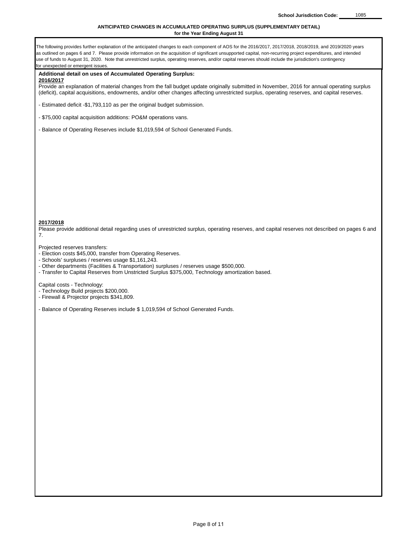## **ANTICIPATED CHANGES IN ACCUMULATED OPERATING SURPLUS (SUPPLEMENTARY DETAIL) for the Year Ending August 31**

| The following provides further explanation of the anticipated changes to each component of AOS for the 2016/2017, 2017/2018, 2018/2019, and 2019/2020 years<br>as outlined on pages 6 and 7. Please provide information on the acquisition of significant unsupported capital, non-recurring project expenditures, and intended<br>use of funds to August 31, 2020. Note that unrestricted surplus, operating reserves, and/or capital reserves should include the jurisdiction's contingency<br>for unexpected or emergent issues. |
|-------------------------------------------------------------------------------------------------------------------------------------------------------------------------------------------------------------------------------------------------------------------------------------------------------------------------------------------------------------------------------------------------------------------------------------------------------------------------------------------------------------------------------------|
| Additional detail on uses of Accumulated Operating Surplus:                                                                                                                                                                                                                                                                                                                                                                                                                                                                         |
| <u>2016/2017</u><br>Provide an explanation of material changes from the fall budget update originally submitted in November, 2016 for annual operating surplus<br>(deficit), capital acquisitions, endowments, and/or other changes affecting unrestricted surplus, operating reserves, and capital reserves.                                                                                                                                                                                                                       |
| - Estimated deficit -\$1,793,110 as per the original budget submission.                                                                                                                                                                                                                                                                                                                                                                                                                                                             |
| - \$75,000 capital acquisition additions: PO&M operations vans.                                                                                                                                                                                                                                                                                                                                                                                                                                                                     |
| - Balance of Operating Reserves include \$1,019,594 of School Generated Funds.                                                                                                                                                                                                                                                                                                                                                                                                                                                      |
|                                                                                                                                                                                                                                                                                                                                                                                                                                                                                                                                     |
|                                                                                                                                                                                                                                                                                                                                                                                                                                                                                                                                     |
| 2017/2018<br>Please provide additional detail regarding uses of unrestricted surplus, operating reserves, and capital reserves not described on pages 6 and<br>7.                                                                                                                                                                                                                                                                                                                                                                   |
| Projected reserves transfers:<br>- Election costs \$45,000, transfer from Operating Reserves.<br>- Schools' surpluses / reserves usage \$1,161,243.<br>- Other departments (Facilities & Transportation) surpluses / reserves usage \$500,000.<br>- Transfer to Capital Reserves from Unstricted Surplus \$375,000, Technology amortization based.                                                                                                                                                                                  |
| Capital costs - Technology:<br>- Technology Build projects \$200,000.<br>- Firewall & Projector projects \$341,809.                                                                                                                                                                                                                                                                                                                                                                                                                 |
| - Balance of Operating Reserves include \$1,019,594 of School Generated Funds.                                                                                                                                                                                                                                                                                                                                                                                                                                                      |
|                                                                                                                                                                                                                                                                                                                                                                                                                                                                                                                                     |
|                                                                                                                                                                                                                                                                                                                                                                                                                                                                                                                                     |
|                                                                                                                                                                                                                                                                                                                                                                                                                                                                                                                                     |
|                                                                                                                                                                                                                                                                                                                                                                                                                                                                                                                                     |
|                                                                                                                                                                                                                                                                                                                                                                                                                                                                                                                                     |
|                                                                                                                                                                                                                                                                                                                                                                                                                                                                                                                                     |
|                                                                                                                                                                                                                                                                                                                                                                                                                                                                                                                                     |
|                                                                                                                                                                                                                                                                                                                                                                                                                                                                                                                                     |
|                                                                                                                                                                                                                                                                                                                                                                                                                                                                                                                                     |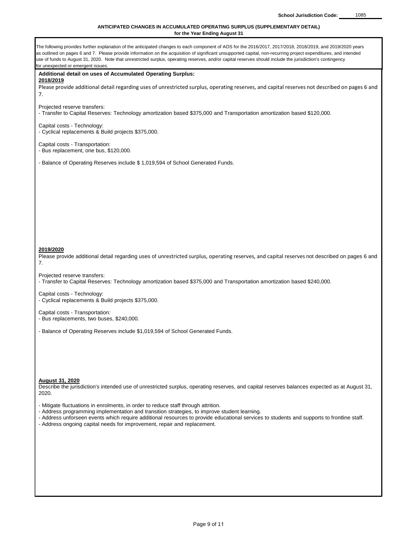## **ANTICIPATED CHANGES IN ACCUMULATED OPERATING SURPLUS (SUPPLEMENTARY DETAIL) for the Year Ending August 31**

| The following provides further explanation of the anticipated changes to each component of AOS for the 2016/2017, 2017/2018, 2018/2019, and 2019/2020 years<br>as outlined on pages 6 and 7. Please provide information on the acquisition of significant unsupported capital, non-recurring project expenditures, and intended<br>use of funds to August 31, 2020. Note that unrestricted surplus, operating reserves, and/or capital reserves should include the jurisdiction's contingency<br>for unexpected or emergent issues. |
|-------------------------------------------------------------------------------------------------------------------------------------------------------------------------------------------------------------------------------------------------------------------------------------------------------------------------------------------------------------------------------------------------------------------------------------------------------------------------------------------------------------------------------------|
| Additional detail on uses of Accumulated Operating Surplus:                                                                                                                                                                                                                                                                                                                                                                                                                                                                         |
| 2018/2019                                                                                                                                                                                                                                                                                                                                                                                                                                                                                                                           |
| Please provide additional detail regarding uses of unrestricted surplus, operating reserves, and capital reserves not described on pages 6 and                                                                                                                                                                                                                                                                                                                                                                                      |
| 7.                                                                                                                                                                                                                                                                                                                                                                                                                                                                                                                                  |
| Projected reserve transfers:<br>- Transfer to Capital Reserves: Technology amortization based \$375,000 and Transportation amortization based \$120,000.                                                                                                                                                                                                                                                                                                                                                                            |
| Capital costs - Technology:<br>- Cyclical replacements & Build projects \$375,000.                                                                                                                                                                                                                                                                                                                                                                                                                                                  |
| Capital costs - Transportation:<br>- Bus replacement, one bus, \$120,000.                                                                                                                                                                                                                                                                                                                                                                                                                                                           |
| - Balance of Operating Reserves include \$1,019,594 of School Generated Funds.                                                                                                                                                                                                                                                                                                                                                                                                                                                      |
|                                                                                                                                                                                                                                                                                                                                                                                                                                                                                                                                     |
|                                                                                                                                                                                                                                                                                                                                                                                                                                                                                                                                     |
|                                                                                                                                                                                                                                                                                                                                                                                                                                                                                                                                     |
|                                                                                                                                                                                                                                                                                                                                                                                                                                                                                                                                     |
|                                                                                                                                                                                                                                                                                                                                                                                                                                                                                                                                     |
| 2019/2020<br>Please provide additional detail regarding uses of unrestricted surplus, operating reserves, and capital reserves not described on pages 6 and<br>7.                                                                                                                                                                                                                                                                                                                                                                   |
| Projected reserve transfers:<br>- Transfer to Capital Reserves: Technology amortization based \$375,000 and Transportation amortization based \$240,000.                                                                                                                                                                                                                                                                                                                                                                            |
| Capital costs - Technology:<br>- Cyclical replacements & Build projects \$375,000.                                                                                                                                                                                                                                                                                                                                                                                                                                                  |
| Capital costs - Transportation:<br>- Bus replacements, two buses, \$240,000.                                                                                                                                                                                                                                                                                                                                                                                                                                                        |
| - Balance of Operating Reserves include \$1,019,594 of School Generated Funds.                                                                                                                                                                                                                                                                                                                                                                                                                                                      |
|                                                                                                                                                                                                                                                                                                                                                                                                                                                                                                                                     |
|                                                                                                                                                                                                                                                                                                                                                                                                                                                                                                                                     |
| <b>August 31, 2020</b><br>Describe the jurisdiction's intended use of unrestricted surplus, operating reserves, and capital reserves balances expected as at August 31,<br>2020.                                                                                                                                                                                                                                                                                                                                                    |
| - Mitigate fluctuations in enrolments, in order to reduce staff through attrition.<br>- Address programming implementation and transition strategies, to improve student learning.<br>- Address unforseen events which require additional resources to provide educational services to students and supports to frontline staff.<br>- Address ongoing capital needs for improvement, repair and replacement.                                                                                                                        |
|                                                                                                                                                                                                                                                                                                                                                                                                                                                                                                                                     |
|                                                                                                                                                                                                                                                                                                                                                                                                                                                                                                                                     |
|                                                                                                                                                                                                                                                                                                                                                                                                                                                                                                                                     |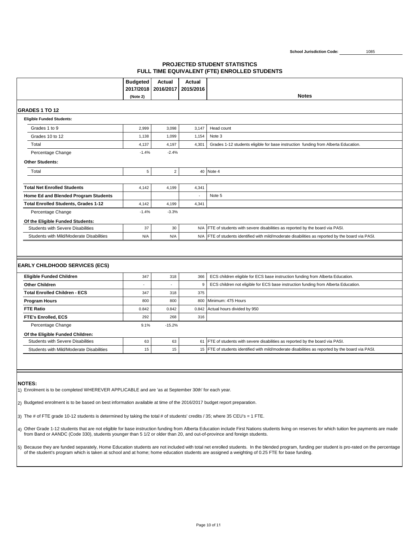**PROJECTED STUDENT STATISTICS FULL TIME EQUIVALENT (FTE) ENROLLED STUDENTS**

|                                                                              | <b>Budgeted</b> | Actual         | <b>Actual</b> |                                                                                                   |  |
|------------------------------------------------------------------------------|-----------------|----------------|---------------|---------------------------------------------------------------------------------------------------|--|
|                                                                              | 2017/2018       | 2016/2017      | 2015/2016     | <b>Notes</b>                                                                                      |  |
|                                                                              | (Note 2)        |                |               |                                                                                                   |  |
| <b>GRADES 1 TO 12</b>                                                        |                 |                |               |                                                                                                   |  |
| <b>Eligible Funded Students:</b>                                             |                 |                |               |                                                                                                   |  |
| Grades 1 to 9                                                                | 2,999           | 3,098          | 3,147         | Head count                                                                                        |  |
| Grades 10 to 12                                                              | 1,138           | 1.099          | 1.154         | Note 3                                                                                            |  |
| Total                                                                        | 4,137           | 4,197          | 4,301         | Grades 1-12 students eligible for base instruction funding from Alberta Education.                |  |
| Percentage Change                                                            | $-1.4%$         | $-2.4%$        |               |                                                                                                   |  |
| <b>Other Students:</b>                                                       |                 |                |               |                                                                                                   |  |
| Total                                                                        | 5               | $\overline{2}$ |               | 40 Note 4                                                                                         |  |
|                                                                              |                 |                |               |                                                                                                   |  |
| <b>Total Net Enrolled Students</b>                                           | 4,142           | 4,199          | 4,341         |                                                                                                   |  |
| Home Ed and Blended Program Students                                         |                 |                |               | Note 5                                                                                            |  |
| <b>Total Enrolled Students, Grades 1-12</b>                                  | 4.142           | 4.199          | 4.341         |                                                                                                   |  |
| Percentage Change                                                            | $-1.4%$         | $-3.3%$        |               |                                                                                                   |  |
| Of the Eligible Funded Students:                                             |                 |                |               |                                                                                                   |  |
| <b>Students with Severe Disabilities</b>                                     | 37              | 30             |               | N/A FTE of students with severe disabilities as reported by the board via PASI.                   |  |
| Students with Mild/Moderate Disabilities                                     | N/A             | N/A            |               | N/A FTE of students identified with mild/moderate disabilities as reported by the board via PASI. |  |
|                                                                              |                 |                |               |                                                                                                   |  |
|                                                                              |                 |                |               |                                                                                                   |  |
|                                                                              |                 |                |               |                                                                                                   |  |
|                                                                              |                 |                |               |                                                                                                   |  |
| <b>EARLY CHILDHOOD SERVICES (ECS)</b>                                        | 347             | 318            |               |                                                                                                   |  |
| <b>Eligible Funded Children</b><br><b>Other Children</b>                     | ä,              | ÷.             | 366<br>9      | ECS children eligible for ECS base instruction funding from Alberta Education.                    |  |
| <b>Total Enrolled Children - ECS</b>                                         |                 |                | 375           | ECS children not eligible for ECS base instruction funding from Alberta Education.                |  |
|                                                                              | 347<br>800      | 318<br>800     |               | 800 Minimum: 475 Hours                                                                            |  |
| <b>Program Hours</b><br><b>FTE Ratio</b>                                     | 0.842           | 0.842          |               |                                                                                                   |  |
|                                                                              | 292             | 268            | 316           | 0.842 Actual hours divided by 950                                                                 |  |
| <b>FTE's Enrolled, ECS</b>                                                   | 9.1%            | $-15.2%$       |               |                                                                                                   |  |
| Percentage Change                                                            |                 |                |               |                                                                                                   |  |
| Of the Eligible Funded Children:<br><b>Students with Severe Disabilities</b> | 63              | 63             |               | 61 FTE of students with severe disabilities as reported by the board via PASI.                    |  |

#### **NOTES:**

1) Enrolment is to be completed WHEREVER APPLICABLE and are 'as at September 30th' for each year.

2) Budgeted enrolment is to be based on best information available at time of the 2016/2017 budget report preparation.

3) The # of FTE grade 10-12 students is determined by taking the total # of students' credits / 35; where 35 CEU's = 1 FTE.

4) Other Grade 1-12 students that are not eligible for base instruction funding from Alberta Education include First Nations students living on reserves for which tuition fee payments are made from Band or AANDC (Code 330), students younger than 5 1/2 or older than 20, and out-of-province and foreign students.

5) Because they are funded separately, Home Education students are not included with total net enrolled students. In the blended program, funding per student is pro-rated on the percentage<br>of the student's program which is